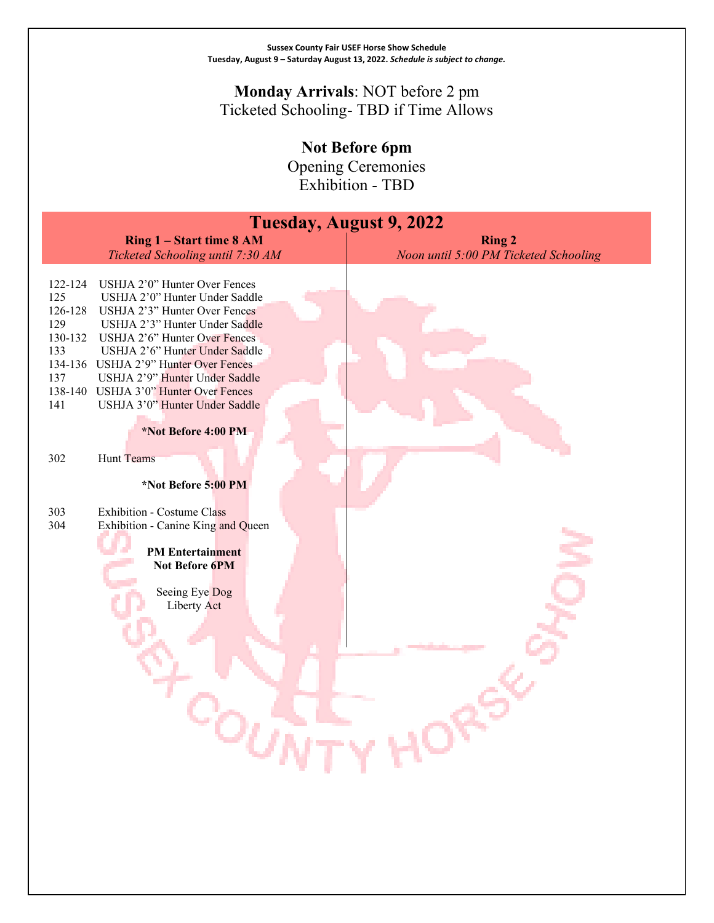### **Monday Arrivals**: NOT before 2 pm Ticketed Schooling- TBD if Time Allows

**Not Before 6pm**

Opening Ceremonies Exhibition - TBD

| <b>Tuesday, August 9, 2022</b>                                                                                                                                                                                                                                                                                                                                                                                                  |                                       |  |  |
|---------------------------------------------------------------------------------------------------------------------------------------------------------------------------------------------------------------------------------------------------------------------------------------------------------------------------------------------------------------------------------------------------------------------------------|---------------------------------------|--|--|
| Ring 1 - Start time 8 AM                                                                                                                                                                                                                                                                                                                                                                                                        | <b>Ring 2</b>                         |  |  |
| Ticketed Schooling until 7:30 AM                                                                                                                                                                                                                                                                                                                                                                                                | Noon until 5:00 PM Ticketed Schooling |  |  |
| USHJA 2'0" Hunter Over Fences<br>122-124<br>125<br>USHJA 2'0" Hunter Under Saddle<br>126-128<br>USHJA 2'3" Hunter Over Fences<br>129<br>USHJA 2'3" Hunter Under Saddle<br>130-132<br>USHJA 2'6" Hunter Over Fences<br>133<br>USHJA 2'6" Hunter Under Saddle<br>134-136 USHJA 2'9" Hunter Over Fences<br>137<br>USHJA 2'9" Hunter Under Saddle<br>138-140 USHJA 3'0" Hunter Over Fences<br>USHJA 3'0" Hunter Under Saddle<br>141 |                                       |  |  |
| *Not Before 4:00 PM                                                                                                                                                                                                                                                                                                                                                                                                             |                                       |  |  |
| 302<br>Hunt Teams                                                                                                                                                                                                                                                                                                                                                                                                               |                                       |  |  |
| *Not Before 5:00 PM                                                                                                                                                                                                                                                                                                                                                                                                             |                                       |  |  |
| 303<br><b>Exhibition - Costume Class</b><br>304<br>Exhibition - Canine King and Queen                                                                                                                                                                                                                                                                                                                                           |                                       |  |  |
| <b>PM</b> Entertainment<br>Not Before 6PM                                                                                                                                                                                                                                                                                                                                                                                       |                                       |  |  |
| Seeing Eye Dog<br>Liberty Act                                                                                                                                                                                                                                                                                                                                                                                                   |                                       |  |  |
|                                                                                                                                                                                                                                                                                                                                                                                                                                 |                                       |  |  |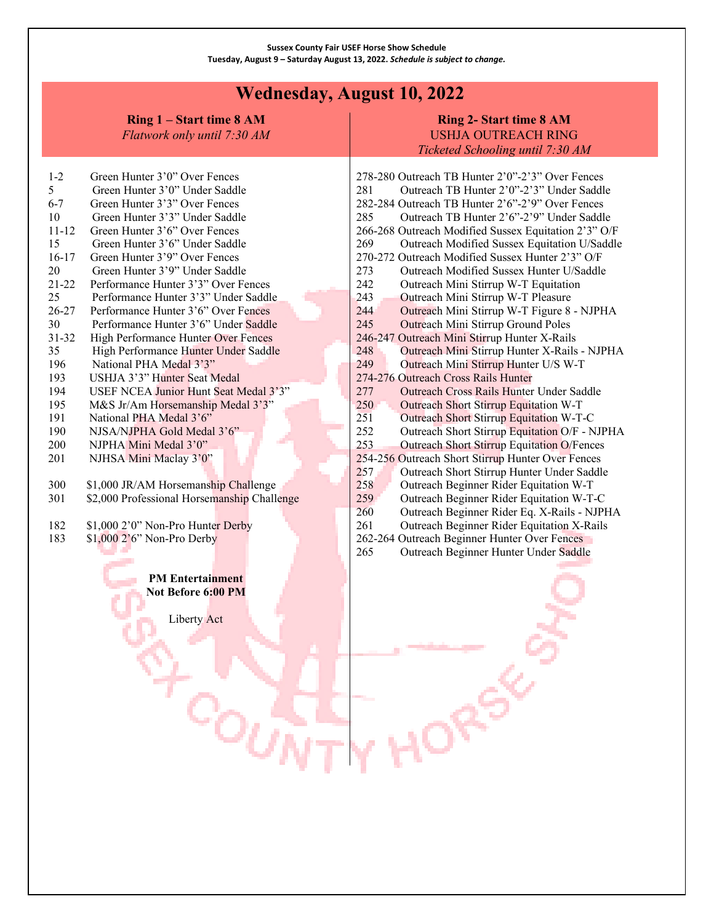## **Wednesday, August 10, 2022**

**Ring 1 – Start time 8 AM**

*Flatwork only until 7:30 AM*

### **Ring 2- Start time 8 AM** USHJA OUTREACH RING *Ticketed Schooling until 7:30 AM*

| $1 - 2$                 | Green Hunter 3'0" Over Fences               |  |  |  |
|-------------------------|---------------------------------------------|--|--|--|
| 5                       | Green Hunter 3'0" Under Saddle              |  |  |  |
| $6-7$                   | Green Hunter 3'3" Over Fences               |  |  |  |
| 10                      | Green Hunter 3'3" Under Saddle              |  |  |  |
| $11 - 12$               | Green Hunter 3'6" Over Fences               |  |  |  |
| 15                      | Green Hunter 3'6" Under Saddle              |  |  |  |
| 16-17                   | Green Hunter 3'9" Over Fences               |  |  |  |
| 20                      | Green Hunter 3'9" Under Saddle              |  |  |  |
| 21-22                   | Performance Hunter 3'3" Over Fences         |  |  |  |
| 25                      | Performance Hunter 3'3" Under Saddle        |  |  |  |
| 26-27                   | Performance Hunter 3'6" Over Fences         |  |  |  |
| 30                      | Performance Hunter 3'6" Under Saddle        |  |  |  |
| 31-32                   | High Performance Hunter Over Fences         |  |  |  |
| 35                      | High Performance Hunter Under Saddle        |  |  |  |
| 196                     | National PHA Medal 3'3"                     |  |  |  |
| 193                     | USHJA 3'3" Hunter Seat Medal                |  |  |  |
| 194                     | USEF NCEA Junior Hunt Seat Medal 3'3"       |  |  |  |
| 195                     | M&S Jr/Am Horsemanship Medal 3'3"           |  |  |  |
| 191                     | National PHA Medal 3'6"                     |  |  |  |
| 190                     | NJSA/NJPHA Gold Medal 3'6"                  |  |  |  |
| 200                     | NJPHA Mini Medal 3'0"                       |  |  |  |
| 201                     | NJHSA Mini Maclay 3'0"                      |  |  |  |
|                         |                                             |  |  |  |
| 300                     | \$1,000 JR/AM Horsemanship Challenge        |  |  |  |
| 301                     | \$2,000 Professional Horsemanship Challenge |  |  |  |
|                         |                                             |  |  |  |
| 182                     | \$1,000 2'0" Non-Pro Hunter Derby           |  |  |  |
| 183                     | \$1,000 2'6" Non-Pro Derby                  |  |  |  |
|                         |                                             |  |  |  |
|                         |                                             |  |  |  |
| <b>PM Entertainment</b> |                                             |  |  |  |
| Not Before 6:00 PM      |                                             |  |  |  |

Liberty Act

ገለማ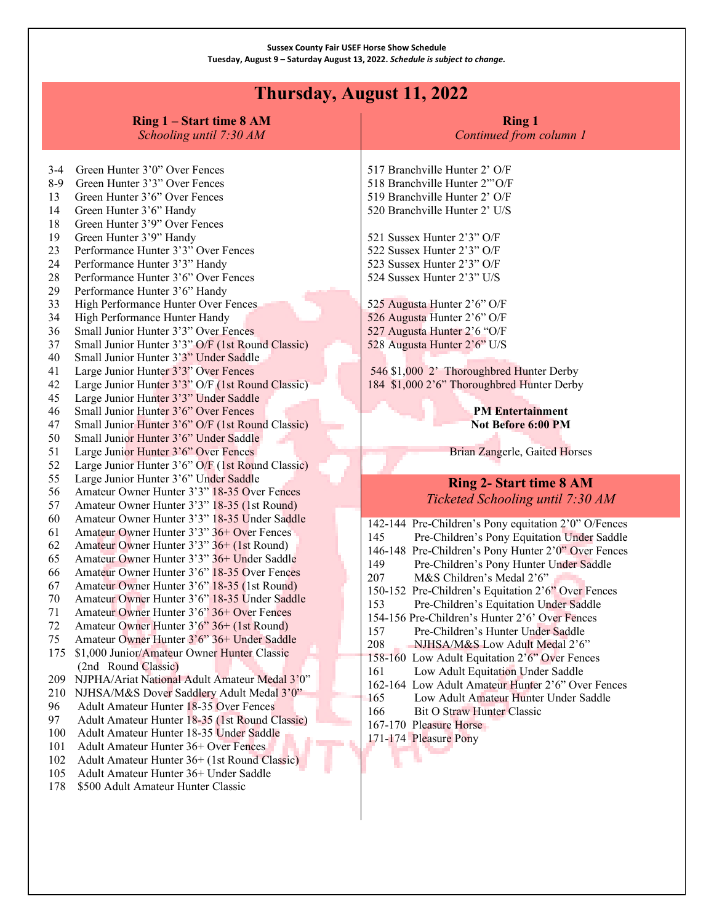# **Thursday, August 11, 2022**

|                                                                                                                                  | Ring 1 – Start time 8 AM<br>Schooling until 7:30 AM                                                                                                                                                                                                                                                                                                                                                                                                                                                                                                                                                                                                                                                                                                                                                                                                                                                          | <b>Ring 1</b><br>Continued from column 1                                                                                                                                                                                                                                                                                                                                                                                                                                                                                                                                                                                                                                                                                                                                                                |
|----------------------------------------------------------------------------------------------------------------------------------|--------------------------------------------------------------------------------------------------------------------------------------------------------------------------------------------------------------------------------------------------------------------------------------------------------------------------------------------------------------------------------------------------------------------------------------------------------------------------------------------------------------------------------------------------------------------------------------------------------------------------------------------------------------------------------------------------------------------------------------------------------------------------------------------------------------------------------------------------------------------------------------------------------------|---------------------------------------------------------------------------------------------------------------------------------------------------------------------------------------------------------------------------------------------------------------------------------------------------------------------------------------------------------------------------------------------------------------------------------------------------------------------------------------------------------------------------------------------------------------------------------------------------------------------------------------------------------------------------------------------------------------------------------------------------------------------------------------------------------|
| $3-4$<br>$8-9$<br>13<br>14<br>18<br>19<br>23<br>24<br>28<br>29<br>33<br>34<br>36<br>37<br>40<br>41<br>42<br>45<br>46<br>47<br>50 | Green Hunter 3'0" Over Fences<br>Green Hunter 3'3" Over Fences<br>Green Hunter 3'6" Over Fences<br>Green Hunter 3'6" Handy<br>Green Hunter 3'9" Over Fences<br>Green Hunter 3'9" Handy<br>Performance Hunter 3'3" Over Fences<br>Performance Hunter 3'3" Handy<br>Performance Hunter 3'6" Over Fences<br>Performance Hunter 3'6" Handy<br>High Performance Hunter Over Fences<br>High Performance Hunter Handy<br>Small Junior Hunter 3'3" Over Fences<br>Small Junior Hunter 3'3" O/F (1st Round Classic)<br>Small Junior Hunter 3'3" Under Saddle<br>Large Junior Hunter 3'3" Over Fences<br>Large Junior Hunter 3'3" O/F (1st Round Classic)<br>Large Junior Hunter 3'3" Under Saddle<br>Small Junior Hunter 3'6" Over Fences<br>Small Junior Hunter 3'6" O/F (1st Round Classic)<br>Small Junior Hunter 3'6" Under Saddle                                                                                | 517 Branchville Hunter 2' O/F<br>518 Branchville Hunter 2"'O/F<br>519 Branchville Hunter 2' O/F<br>520 Branchville Hunter 2' U/S<br>521 Sussex Hunter 2'3" O/F<br>522 Sussex Hunter 2'3" O/F<br>523 Sussex Hunter 2'3" O/F<br>524 Sussex Hunter 2'3" U/S<br>525 Augusta Hunter 2'6" O/F<br>526 Augusta Hunter 2'6" O/F<br>527 Augusta Hunter 2'6 "O/F<br>528 Augusta Hunter 2'6" U/S<br>546 \$1,000 2' Thoroughbred Hunter Derby<br>184 \$1,000 2'6" Thoroughbred Hunter Derby<br><b>PM</b> Entertainment<br>Not Before 6:00 PM                                                                                                                                                                                                                                                                         |
| 51<br>52<br>55                                                                                                                   | Large Junior Hunter 3'6" Over Fences<br>Large Junior Hunter 3'6" O/F (1st Round Classic)<br>Large Junior Hunter 3'6" Under Saddle                                                                                                                                                                                                                                                                                                                                                                                                                                                                                                                                                                                                                                                                                                                                                                            | Brian Zangerle, Gaited Horses<br><b>Ring 2- Start time 8 AM</b>                                                                                                                                                                                                                                                                                                                                                                                                                                                                                                                                                                                                                                                                                                                                         |
| 56<br>57<br>60                                                                                                                   | Amateur Owner Hunter 3'3" 18-35 Over Fences<br>Amateur Owner Hunter 3'3" 18-35 (1st Round)<br>Amateur Owner Hunter 3'3" 18-35 Under Saddle                                                                                                                                                                                                                                                                                                                                                                                                                                                                                                                                                                                                                                                                                                                                                                   | Ticketed Schooling until 7:30 AM                                                                                                                                                                                                                                                                                                                                                                                                                                                                                                                                                                                                                                                                                                                                                                        |
| 61<br>62<br>65<br>66<br>67<br>70<br>71<br>72<br>75<br>175<br>209<br>210<br>96<br>97<br>100<br>101<br>102<br>105<br>178           | Amateur Owner Hunter 3'3" 36+ Over Fences<br>Amateur Owner Hunter 3'3" 36+ (1st Round)<br>Amateur Owner Hunter 3'3" 36+ Under Saddle<br>Amateur Owner Hunter 3'6" 18-35 Over Fences<br>Amateur Owner Hunter 3'6" 18-35 (1st Round)<br>Amateur Owner Hunter 3'6" 18-35 Under Saddle<br>Amateur Owner Hunter 3'6" 36+ Over Fences<br>Amateur Owner Hunter 3'6" 36+ (1st Round)<br>Amateur Owner Hunter 3'6" 36+ Under Saddle<br>\$1,000 Junior/Amateur Owner Hunter Classic<br>(2nd Round Classic)<br>NJPHA/Ariat National Adult Amateur Medal 3'0"<br>NJHSA/M&S Dover Saddlery Adult Medal 3'0"<br>Adult Amateur Hunter 18-35 Over Fences<br>Adult Amateur Hunter 18-35 (1st Round Classic)<br>Adult Amateur Hunter 18-35 Under Saddle<br>Adult Amateur Hunter 36+ Over Fences<br>Adult Amateur Hunter 36+ (1st Round Classic)<br>Adult Amateur Hunter 36+ Under Saddle<br>\$500 Adult Amateur Hunter Classic | 142-144 Pre-Children's Pony equitation 2'0" O/Fences<br>145<br>Pre-Children's Pony Equitation Under Saddle<br>146-148 Pre-Children's Pony Hunter 2'0" Over Fences<br>149<br>Pre-Children's Pony Hunter Under Saddle<br>207<br>M&S Children's Medal 2'6"<br>150-152 Pre-Children's Equitation 2'6" Over Fences<br>153<br>Pre-Children's Equitation Under Saddle<br>154-156 Pre-Children's Hunter 2'6' Over Fences<br>157<br>Pre-Children's Hunter Under Saddle<br>208<br>NJHSA/M&S Low Adult Medal 2'6"<br>158-160 Low Adult Equitation 2'6" Over Fences<br>Low Adult Equitation Under Saddle<br>161<br>162-164 Low Adult Amateur Hunter 2'6" Over Fences<br>Low Adult Amateur Hunter Under Saddle<br>165<br>166<br><b>Bit O Straw Hunter Classic</b><br>167-170 Pleasure Horse<br>171-174 Pleasure Pony |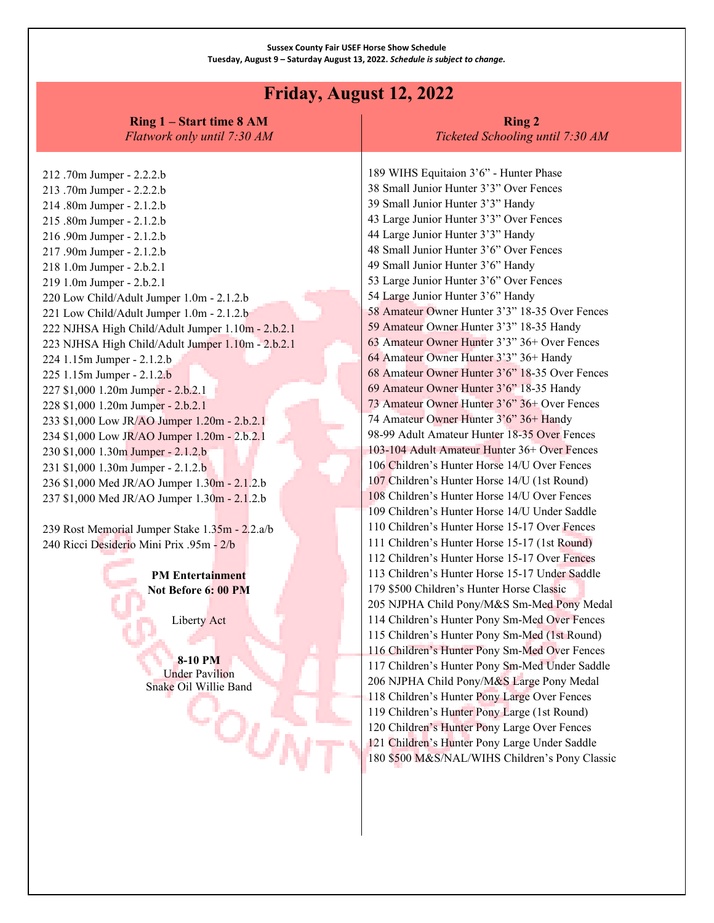### **Friday, August 12, 2022**

**Ring 1 – Start time 8 AM** *Flatwork only until 7:30 AM*

#### **Ring 2** *Ticketed Schooling until 7:30 AM*

212 .70m Jumper - 2.2.2.b 213 .70m Jumper - 2.2.2.b 214 .80m Jumper - 2.1.2.b 215 .80m Jumper - 2.1.2.b 216 .90m Jumper - 2.1.2.b 217 .90m Jumper - 2.1.2.b 218 1.0m Jumper - 2.b.2.1 219 1.0m Jumper - 2.b.2.1 220 Low Child/Adult Jumper 1.0m - 2.1.2.b 221 Low Child/Adult Jumper 1.0m - 2.1.2.b 222 NJHSA High Child/Adult Jumper 1.10m - 2.b.2.1 223 NJHSA High Child/Adult Jumper 1.10m - 2.b.2.1 224 1.15m Jumper - 2.1.2.b 225 1.15m Jumper - 2.1.2.b 227 \$1,000 1.20m Jumper - 2.b.2.1 228 \$1,000 1.20m Jumper - 2.b.2.1 233 \$1,000 Low JR/AO Jumper 1.20m - 2.b.2.1 234 \$1,000 Low JR/AO Jumper 1.20m - 2.b.2.1 230 \$1,000 1.30m Jumper - 2.1.2.b 231 \$1,000 1.30m Jumper - 2.1.2.b 236 \$1,000 Med JR/AO Jumper 1.30m - 2.1.2.b 237 \$1,000 Med JR/AO Jumper 1.30m - 2.1.2.b

239 Rost Memorial Jumper Stake 1.35m - 2.2.a/b 240 Ricci Desiderio Mini Prix .95m - 2/b

> **PM Entertainment Not Before 6: 00 PM**

> > Liberty Act

**8-10 PM** Under Pavilion Snake Oil Willie Band

∹்கூ

189 WIHS Equitaion 3'6" - Hunter Phase 38 Small Junior Hunter 3'3" Over Fences 39 Small Junior Hunter 3'3" Handy 43 Large Junior Hunter 3'3" Over Fences 44 Large Junior Hunter 3'3" Handy 48 Small Junior Hunter 3'6" Over Fences 49 Small Junior Hunter 3'6" Handy 53 Large Junior Hunter 3'6" Over Fences 54 Large Junior Hunter 3'6" Handy 58 Amateur Owner Hunter 3'3" 18-35 Over Fences 59 Amateur Owner Hunter 3'3" 18-35 Handy 63 Amateur Owner Hunter 3'3" 36+ Over Fences 64 Amateur Owner Hunter 3'3" 36+ Handy 68 Amateur Owner Hunter 3'6" 18-35 Over Fences 69 Amateur Owner Hunter 3'6" 18-35 Handy 73 Amateur Owner Hunter 3'6" 36+ Over Fences 74 Amateur Owner Hunter 3'6" 36+ Handy 98-99 Adult Amateur Hunter 18-35 Over Fences 103-104 Adult Amateur Hunter 36+ Over Fences 106 Children's Hunter Horse 14/U Over Fences 107 Children's Hunter Horse 14/U (1st Round) 108 Children's Hunter Horse 14/U Over Fences 109 Children's Hunter Horse 14/U Under Saddle 110 Children's Hunter Horse 15-17 Over Fences 111 Children's Hunter Horse 15-17 (1st Round) 112 Children's Hunter Horse 15-17 Over Fences 113 Children's Hunter Horse 15-17 Under Saddle 179 \$500 Children's Hunter Horse Classic 205 NJPHA Child Pony/M&S Sm-Med Pony Medal 114 Children's Hunter Pony Sm-Med Over Fences 115 Children's Hunter Pony Sm-Med (1st Round) 116 Children's Hunter Pony Sm-Med Over Fences 117 Children's Hunter Pony Sm-Med Under Saddle 206 NJPHA Child Pony/M&S Large Pony Medal 118 Children's Hunter Pony Large Over Fences 119 Children's Hunter Pony Large (1st Round) 120 Children's Hunter Pony Large Over Fences 121 Children's Hunter Pony Large Under Saddle 180 \$500 M&S/NAL/WIHS Children's Pony Classic